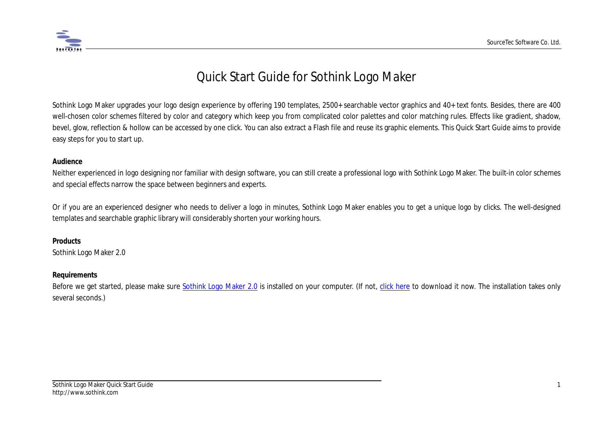

# Quick Start Guide for Sothink Logo Maker

Sothink Logo Maker upgrades your logo design experience by offering 190 templates, 2500+ searchable vector graphics and 40+ text fonts. Besides, there are 400 well-chosen color schemes filtered by color and category which keep you from complicated color palettes and color matching rules. Effects like gradient, shadow, bevel, glow, reflection & hollow can be accessed by one click. You can also extract a Flash file and reuse its graphic elements. This Quick Start Guide aims to provide easy steps for you to start up.

#### **Audience**

Neither experienced in logo designing nor familiar with design software, you can still create a professional logo with Sothink Logo Maker. The built-in color schemes and special effects narrow the space between beginners and experts.

Or if you are an experienced designer who needs to deliver a logo in minutes, Sothink Logo Maker enables you to get a unique logo by clicks. The well-designed templates and searchable graphic library will considerably shorten your working hours.

#### **Products**

Sothink Logo Maker 2.0

#### **Requirements**

Before we get started, please make sure [Sothink Logo Maker 2.0](http://www.sothink.com/product/logo-maker/index.htm) is installed on your computer. (If not, [click here](http://www.sothink.com/product/logo-maker/download.htm) to download it now. The installation takes only several seconds.)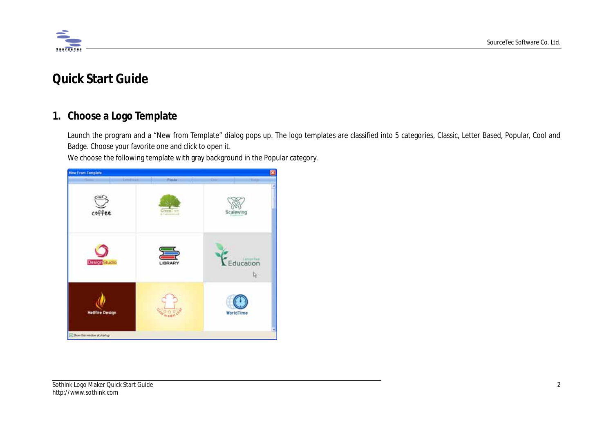

# **Quick Start Guide**

# **1. Choose a Logo Template**

Launch the program and a "New from Template" dialog pops up. The logo templates are classified into 5 categories, Classic, Letter Based, Popular, Cool and Badge. Choose your favorite one and click to open it.

We choose the following template with gray background in the Popular category.

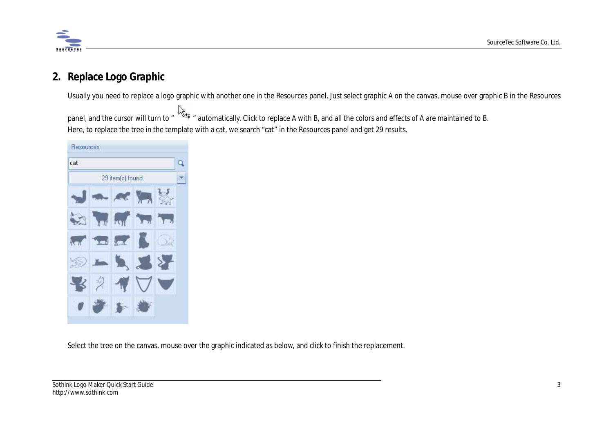

# **2. Replace Logo Graphic**

Usually you need to replace a logo graphic with another one in the Resources panel. Just select graphic A on the canvas, mouse over graphic B in the Resources

panel, and the cursor will turn to "  $\overleftrightarrow{ }$ " automatically. Click to replace A with B, and all the colors and effects of A are maintained to B. Here, to replace the tree in the template with a cat, we search "cat" in the Resources panel and get 29 results.



Select the tree on the canvas, mouse over the graphic indicated as below, and click to finish the replacement.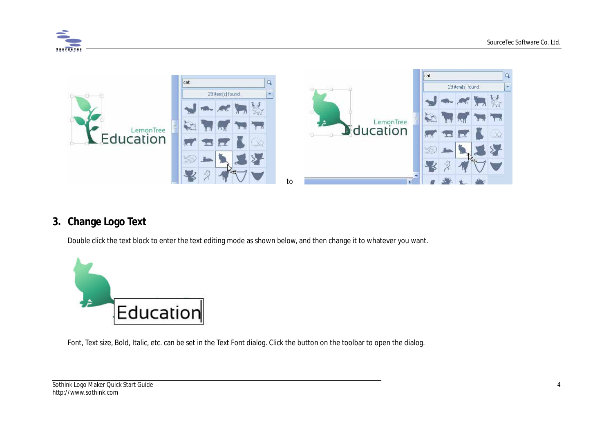



# **3. Change Logo Text**

Double click the text block to enter the text editing mode as shown below, and then change it to whatever you want.



Font, Text size, Bold, Italic, etc. can be set in the Text Font dialog. Click the button on the toolbar to open the dialog.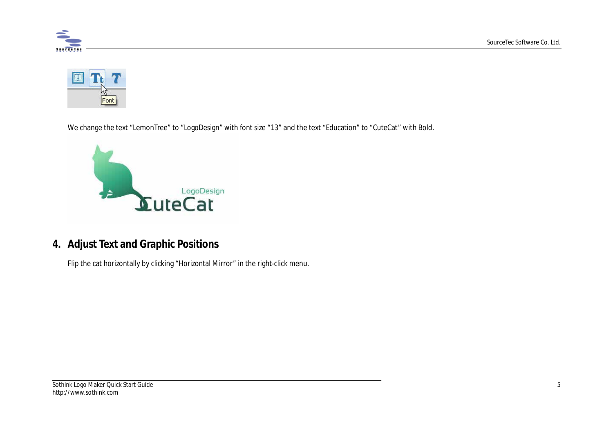



We change the text "LemonTree" to "LogoDesign" with font size "13" and the text "Education" to "CuteCat" with Bold.



# **4. Adjust Text and Graphic Positions**

Flip the cat horizontally by clicking "Horizontal Mirror" in the right-click menu.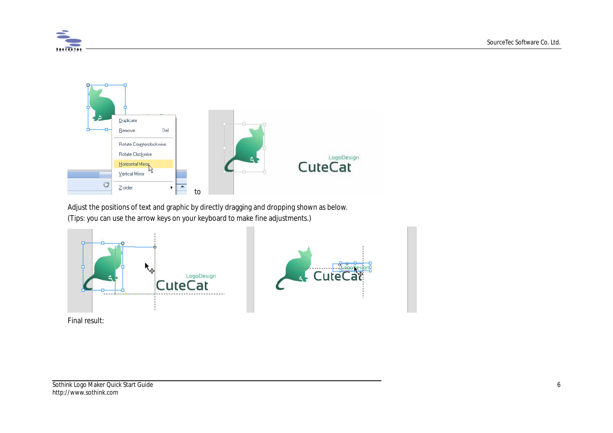



Adjust the positions of text and graphic by directly dragging and dropping shown as below. (Tips: you can use the arrow keys on your keyboard to make fine adjustments.)





Final result: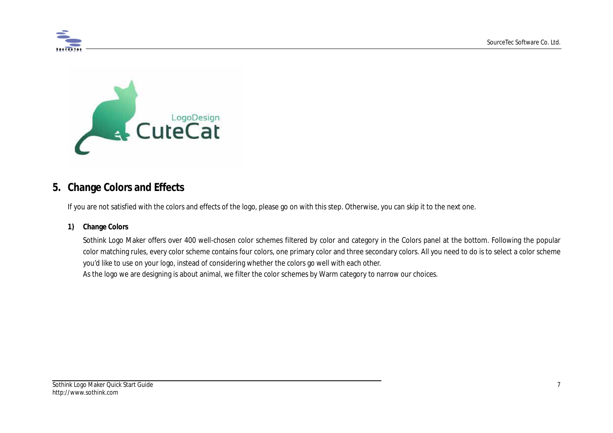



## **5. Change Colors and Effects**

If you are not satisfied with the colors and effects of the logo, please go on with this step. Otherwise, you can skip it to the next one.

#### **1) Change Colors**

Sothink Logo Maker offers over 400 well-chosen color schemes filtered by color and category in the Colors panel at the bottom. Following the popular color matching rules, every color scheme contains four colors, one primary color and three secondary colors. All you need to do is to select a color scheme you'd like to use on your logo, instead of considering whether the colors go well with each other. As the logo we are designing is about animal, we filter the color schemes by Warm category to narrow our choices.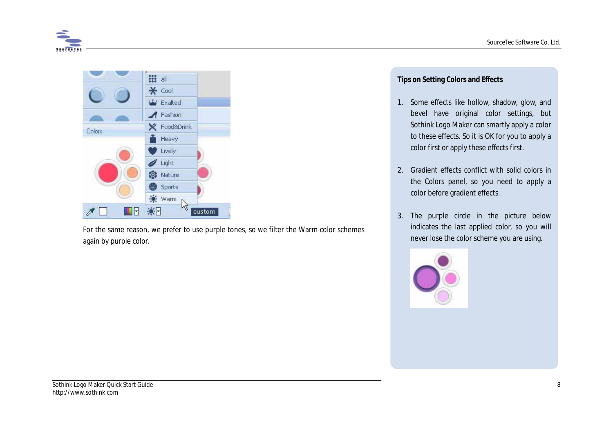



For the same reason, we prefer to use purple tones, so we filter the Warm color schemes again by purple color.

#### **Tips on Setting Colors and Effects**

- 1. Some effects like hollow, shadow, glow, and bevel have original color settings, but Sothink Logo Maker can smartly apply a color to these effects. So it is OK for you to apply a color first or apply these effects first.
- 2. Gradient effects conflict with solid colors in the Colors panel, so you need to apply a color before gradient effects.
- 3. The purple circle in the picture below indicates the last applied color, so you will never lose the color scheme you are using.

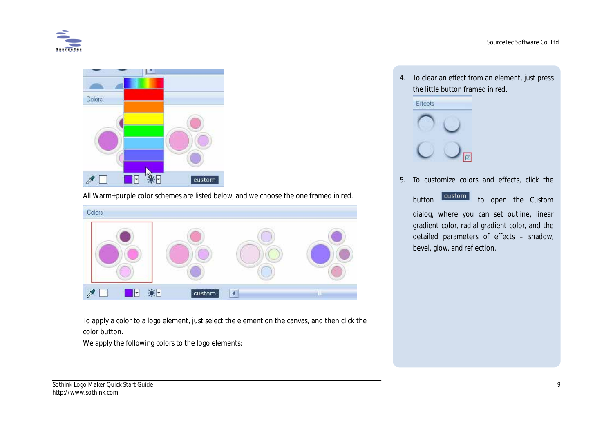



All Warm+purple color schemes are listed below, and we choose the one framed in red.



To apply a color to a logo element, just select the element on the canvas, and then click the color button.

We apply the following colors to the logo elements:

4. To clear an effect from an element, just press the little button framed in red.

Effects



5. To customize colors and effects, click the

button custom to open the Custom dialog, where you can set outline, linear gradient color, radial gradient color, and the detailed parameters of effects – shadow,

bevel, glow, and reflection.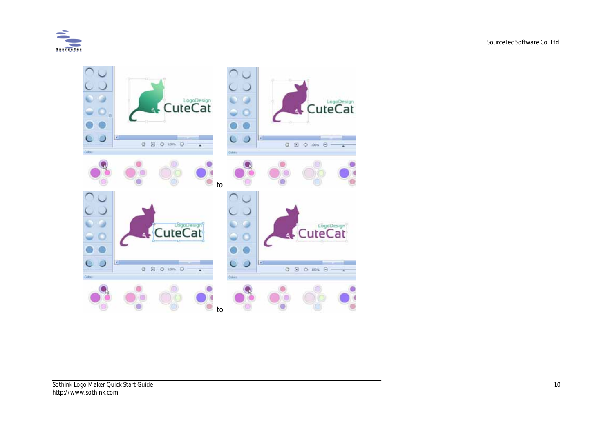

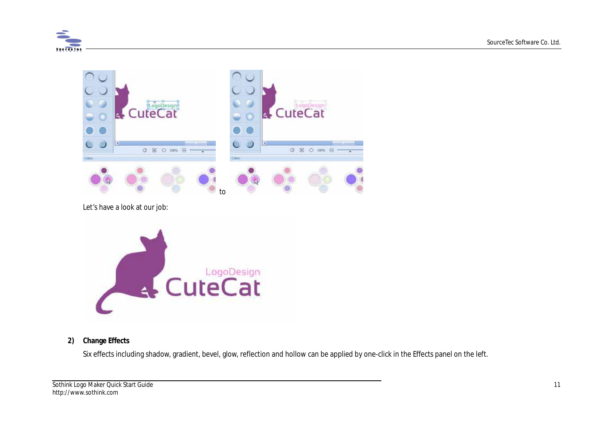



Let's have a look at our job:



#### **2) Change Effects**

Six effects including shadow, gradient, bevel, glow, reflection and hollow can be applied by one-click in the Effects panel on the left.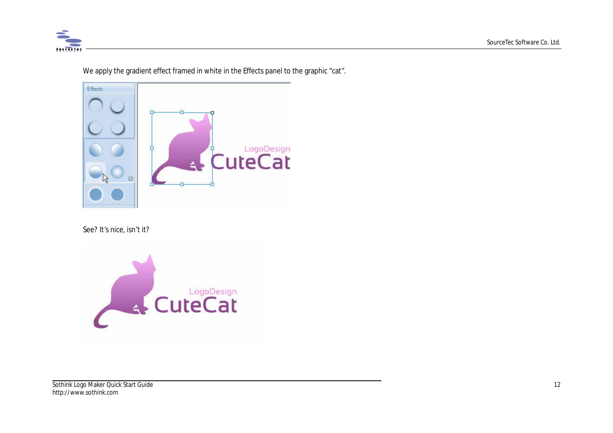

Effects **CuteCat**  $-4$  $\circ$ 

We apply the gradient effect framed in white in the Effects panel to the graphic "cat".

#### See? It's nice, isn't it?

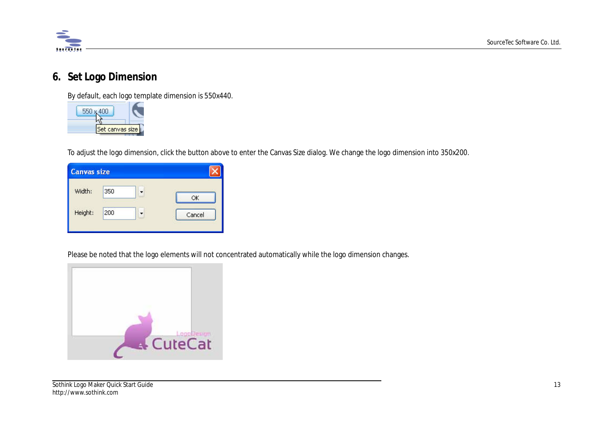

## **6. Set Logo Dimension**

By default, each logo template dimension is 550x440.

| Set canvas size |  |
|-----------------|--|

To adjust the logo dimension, click the button above to enter the Canvas Size dialog. We change the logo dimension into 350x200.

| <b>Canvas size</b> |           |        |
|--------------------|-----------|--------|
| Width:             | 350       | OK     |
| Height:            | 53<br>200 | Cancel |

Please be noted that the logo elements will not concentrated automatically while the logo dimension changes.

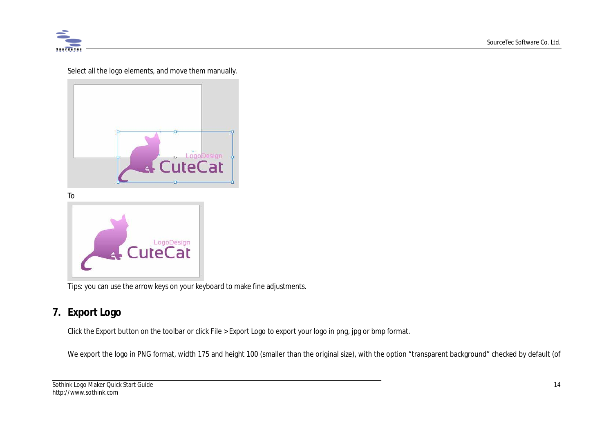

Select all the logo elements, and move them manually.



To



Tips: you can use the arrow keys on your keyboard to make fine adjustments.

# **7. Export Logo**

Click the Export button on the toolbar or click File > Export Logo to export your logo in png, jpg or bmp format.

We export the logo in PNG format, width 175 and height 100 (smaller than the original size), with the option "transparent background" checked by default (of